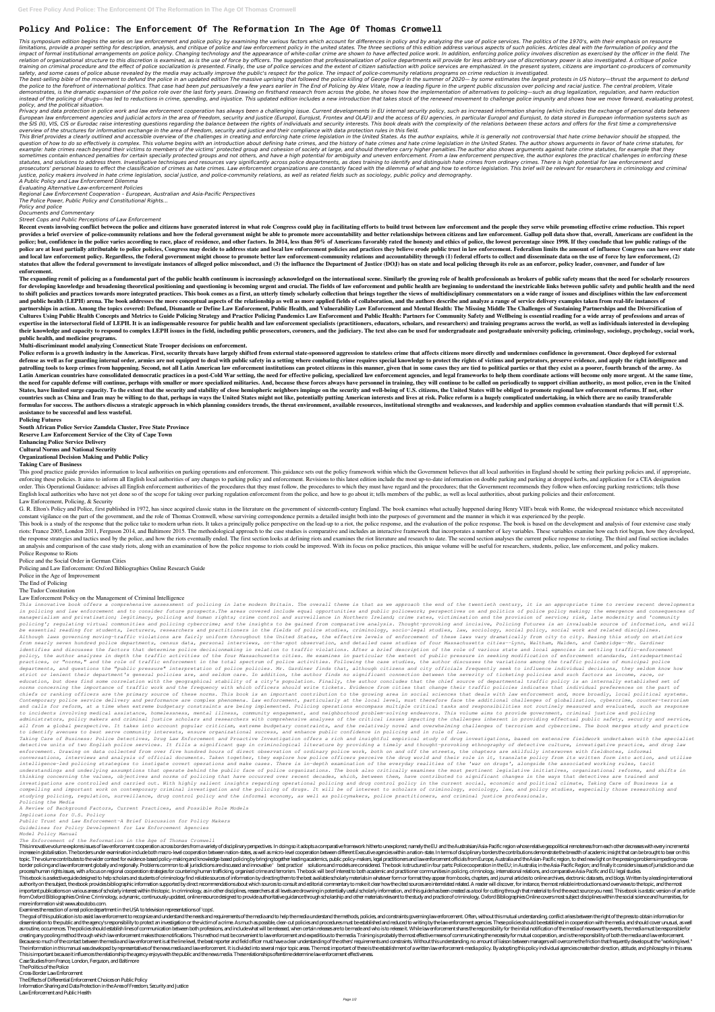# **Policy And Police: The Enforcement Of The Reformation In The Age Of Thomas Cromwell**

This symposium edition begins the series on law enforcement and police policy by examining the various factors which account for differences in policy and by analyzing the use of police services. The politics of the 1970's limitations, provide a proper setting for description, analysis, and critique of police and law enforcement policy in the united states. The three sections of this edition address various aspects of such policies. Articles impact of formal institutional arrangements on police policy. Changing technology and the appearance of white-collar crime are shown to have affected police work. In addition, enforcing police policy involves discretion as relation of organizational structure to this discretion is examined, as is the use of force by officers. The suggestion that professionalization of police departments will provide for less arbitrary use of discretionary po training on criminal procedure and the effect of police socialization is presented. Finally, the use of police services and the extent of citizen satisfaction with police services are emphasized. In the present system, cit *safety, and some cases of police abuse revealed by the media may actually improve the public's respect for the police. The impact of police-community relations programs on crime reduction is investigated.*

The best-selling bible of the movement to defund the police in an updated edition The massive uprising that followed the police killing of George Floyd in the summer of 2020— by some estimates the largest protests in US hi the police to the forefront of international politics. That case had been put persuasively a few years earlier in The End of Policing by Alex Vitale, now a leading figure in the urgent public discussion over policing and r demonstrates, is the dramatic expansion of the police role over the last forty years. Drawing on firsthand research from across the globe, he shows how the implementation of alternatives to policing—such as drug legalizati instead of the policing of drugs—has led to reductions in crime, spending, and injustice. This updated edition includes a new introduction that takes stock of the renewed movement to challenge police impunity and shows how *policy, and the political situation.*

Privacy and data protection in police work and law enforcement cooperation has always been a challenging issue. Current developments in EU internal security policy, such as increased information sharing (which includes the European law enforcement agencies and judicial actors in the area of freedom, security and justice (Europol, Eurojust, Frontex and OLAF)) and the access of EU agencies, in particular Europol and Eurojust, to data stored in the SIS (II), VIS, CIS or Eurodac raise interesting questions regarding the balance between the rights of individuals and security interests. This book deals with the complexity of the relations between these actors and of *overview of the structures for information exchange in the area of freedom, security and justice and their compliance with data protection rules in this field.*

This Brief provides a clearly outlined and accessible overview of the challenges in creating and enforcing hate crime legislation in the United States. As the author explains, while it is generally not controversial that h question of how to do so effectively is complex. This volume begins with an introduction about defining hate crimes, and the history of hate crimes and hate crime legislation in the United States. The author shows argument example: hate crimes reach beyond their victims to members of the victims' protected group and cohesion of society at large, and should therefore carry higher penalties. The author also shows arguments against hate crime s sometimes contain enhanced penalties for certain specially protected groups and not others, and have a high potential for ambiguity and uneven enforcement. From a law enforcement perspective, the author explores the practi statutes, and solutions to address them. Investigative techniques and resources vary significantly across police departments, as does training to identify and distinguish hate crimes from ordinary crimes. There is high pot prosecutors' personal biases to effect the classification of crimes as hate crimes. Law enforcement organizations are constantly faced with the dilemma of what and how to enforce legislation. This brief will be relevant fo *justice, policy makers involved in hate crime legislation, social justice, and police-community relations, as well as related fields such as sociology, public policy and demography.*

Recent events involving conflict between the police and citizens have generated interest in what role Congress could play in facilitating efforts to build trust between law enforcement and the people they serve while promo provides a brief overview of police-community relations and how the federal government might be able to promote more accountability and better relationships between citizens and law enforcement. Gallup poll data show that, police; but, confidence in the police varies according to race, place of residence, and other factors. In 2014, less than 50% of Americans favorably rated the honesty and ethics of police, the lowest percentage since 1998. police are at least partially attributable to police policies, Congress may decide to address state and local law enforcement policies and practices they believe erode public trust in law enforcement. Federalism limits the and local law enforcement policy. Regardless, the federal government might choose to promote better law enforcement-community relations and accountability through (1) federal efforts to collect and disseminate data on the statutes that allow the federal government to investigate instances of alleged police misconduct, and (3) the influence the Department of Justice (DOJ) has on state and local policing through its role as an enforcer, polic **enforcement.**

The expanding remit of policing as a fundamental part of the public health continuum is increasingly acknowledged on the international scene. Similarly the growing role of health professionals as brokers of public safety m for developing knowledge and broadening theoretical positioning and questioning is becoming urgent and crucial. The fields of law enforcement and public health are beginning to understand the inextricable links between pub to shift policies and practices towards more integrated practices. This book comes as a first, an utterly timely scholarly collection that brings together the views of multidisciplinary commentators on a wide range of issu and public health (LEPH) arena. The book addresses the more conceptual aspects of the relationship as well as more applied fields of collaboration, and the authors describe and analyze a range of service delivery examples partnerships in action. Among the topics covered: Defund, Dismantle or Define Law Enforcement, Public Health, and Vulnerability Law Enforcement and Mental Health: The Missing Middle The Challenges of Sustaining Partnership Cultures Using Public Health Concepts and Metrics to Guide Policing Strategy and Practice Policing Pandemics Law Enforcement and Public Health: Partners for Community Safety and Wellbeing is essential reading for a wide ar expertise in the intersectoral field of LEPH. It is an indispensable resource for public health and law enforcement specialists (practitioners, educators, scholars, and researchers) and training programs across the world, their knowledge and capacity to respond to complex LEPH issues in the field, including public prosecutors, coroners, and the judiciary. The text also can be used for undergraduate and postgraduate university policing, crim **public health, and medicine programs.**

*A Public Policy and Law Enforcement Dilemma*

*Evaluating Alternative Law-enforcement Policies*

*Regional Law Enforcement Cooperation – European, Australian and Asia-Pacific Perspectives*

*The Police Power, Public Policy and Constitutional Rights...*

*Policy and police*

*Documents and Commentary*

*Street Cops and Public Perceptions of Law Enforcement*

Police reform is a growth industry in the Americas. First, security threats have largely shifted from external state-sponsored aggression to stateless crime that affects citizens more directly and undermines confidence in defense as well as for guarding internal order, armies are not equipped to deal with public safety in a setting where combating crime requires special knowledge to protect the rights of victims and perpetrators, preserve e patrolling tools to keep crimes from happening. Second, not all Latin American law enforcement institutions can protect citizens in this manner, given that in some cases they are tied to political parties or that they exis Latin American countries have consolidated democratic practices in a post-Cold War setting, the need for effective policing, specialized law enforcement agencies, and legal frameworks to help them coordinate actions will b the need for capable defense will continue, perhaps with smaller or more specialized militaries. And, because these forces always have personnel in training, they will continue to be called on periodically to support civil States, have limited surge capacity. To the extent that the security and stability of close hemispheric neighbors impinge on the security and well-being of U.S. citizens, the United States will be obliged to promote region countries such as China and Iran may be willing to do that, perhaps in ways the United States might not like, potentially putting American interests and lives at risk. Police reform is a hugely complicated undertaking, in formulas for success. The authors discuss a strategic approach in which planning considers trends, the threat environment, available resources, institutional strengths and weaknesses, and leadership and applies common eval **assistance to be successful and less wasteful.**

This good practice guide provides information to local authorities on parking operations and enforcement. This guidance sets out the policy framework within which the Government believes that all local authorities in Engla enforcing these policies. It aims to inform all English local authorities of any changes to parking policy and enforcement. Revisions to this latest edition include the most up-to-date information on double parking and par order. This Operational Guidance: advises all English enforcement authorities of the procedures that they must follow, the procedures to which they must have regard and the procedures; that the Government recommends they f English local authorities who have not yet done so of the scope for taking over parking regulation enforcement from the police, and how to go about it; tells members of the public, as well as local authorities, about parki Law Enforcement, Policing, & Security

G. R. Elton's Policy and Police, first published in 1972, has since acquired classic status in the literature on the government of sixteenth-century England. The book examines what actually happened during Henry VIII's bre constant vigilance on the part of the government, and the role of Thomas Cromwell, whose surviving correspondence permits a detailed insight both into the purposes of government and the manner in which it was experienced b

This book is a study of the response that the police take to modern urban riots. It takes a principally police perspective on the lead-up to a riot, the police response, and the evaluation of the police response. The book riots: France 2005, London 2011, Ferguson 2014, and Baltimore 2015. The methodological approach to the case studies is comparative and includes an interactive framework that incorporates a number of key variables. These va the response strategies and tactics used by the police, and how the riots eventually ended. The first section looks at defining riots and examines the riot literature and research to date. The second section analyses the c an analysis and comparison of the case study riots, along with an examination of how the police response to riots could be improved. With its focus on police practices, this unique volume will be useful for researchers, st Police Response to Riots

**Multi-discriminant model analyzing Connecticut State Trooper decisions on enforcement.**

This innovative book offers a comprehensive assessment of policing in late modern Britain. The overall theme is that as we approach the end of the twentieth century, it is an appropriate time to review recent developments in policing and law enforcement and to consider future prospects. The areas covered include equal opportunities and public policework; perspectives on and politics of police policy making; the emergence and consequences of *managerialism and privatisation; legitimacy, policing and human rights; crime control and surveillance in Northern Ireland; crime rates, victimisation and the provision of service; risk, late modernity and 'community* policing'; regulating virtual communities and policing cybercrime; and the insights to be gained from comparative analysis. Thought-provoking and incisive, Policing Futures is an invaluable source of information, and will *be essential reading for students, lecturers, researchers and practitioners in the fields of police studies, criminology, socio-legal studies, law, sociology, social policy, social work and related disciplines. Although laws governing moving-traffic violations are fairly uniform throughout the United States, the effective levels of enforcement of these laws vary dramatically from city to city. Basing this study on statistics from nearly seven hundred police departments, census data, personal interviews, on-the-spot observation, and detailed case studies of four Massachusetts cities--Lynn, Waltham, Malden, and Cambridge--Mr. Gardiner identifies and discusses the factors that determine police decisionmaking in relation to traffic violations. After a brief description of the role of various state and local agencies in settling traffic-enforcement policy, the author analyzes in depth the traffic activities of the four Massachusetts cities. He examines in particular the extent of public pressure in seeking modification of enforcement standards, intradepartmental practices, or "norms," and the role of traffic enforcement in the total spectrum of police activities. Following the case studies, the author discusses the variations among the traffic policies of municipal police departments, and questions the "public pressure" interpretation of police policies. Mr. Gardiner finds that, although citizens and city officials frequently seek to influence individual decisions, they seldom know how strict or lenient their department's general policies are, and seldom care. In addition, the author finds no significant connection between the severity of ticketing policies and such factors as income, race, or education, but does find some correlation with the geographical stability of a city's population. Finally, the author concludes that the chief source of departmental traffic policy is an internally established set of norms concerning the importance of traffic work and the frequency with which officers should write tickets. Evidence from cities that change their traffic policies indicates that individual preferences on the part of* chiefs or ranking officers are the primary source of these norms. This book is an important contribution to the growing area in social sciences that deals with law enforcement and, more broadly, local political systems. Contemporary police service delivery and performance are complex phenomena. Law enforcement, particularly at the local level, must therefore face the additional challenges of globalization, cybercrime, counter-terrorism and calls for reform, at a time when extreme budgetary constraints are being implemented. Policing operations encompass multiple critical tasks and responsibilities not routinely measured and evaluated, such as response *to incidents involving medical assistance, homelessness, mental illness, community engagement, and neighborhood problem-solving endeavors. This volume aims to provide government, criminal justice and policing* administrators, policy makers and criminal justice scholars and researchers with comprehensive analyses of the critical issues impacting the challenges inherent in providing effectual public safety, security and service, all from a global perspective. It takes into account popular criticism, extreme budgetary constraints, and the relatively novel and overwhelming challenges of terrorism and cybercrime. The book merges study and practice *to identify avenues to best serve community interests, ensure organizational success, and enhance public confidence in policing and in rule of law.*

Taking Care of Business: Police Detectives, Drug Law Enforcement and Proactive Investigation offers a rich and insightful empirical study of drug investigations, based on extensive fieldwork undertaken with the specialist detective units of two English police services. It fills a significant gap in criminological literature by providing a timely and thought-provoking ethnography of detective culture, investigative practice, and drug law *enforcement. Drawing on data collected from over five hundred hours of direct observation of ordinary police work, both on and off the streets, the chapters are skilfully interwoven with fieldnotes, informal* conversations, interviews and analysis of official documents. Taken together, they explore how police officers perceive the drug world and their role in it, translate policy from its written form into action, and utilise *intelligence-led policing strategies to instigate covert operations and make cases. There is in-depth examination of the everyday realities of the 'war on drugs', alongside the associated working rules, tacit* understandings and underlying assumptions that operate behind the public face of police organizations. The book also critically examines the most pertinent legislative initiatives, organizational reforms, and shifts in *thinking concerning the values, objectives and norms of policing that have occurred over recent decades, which, between them, have contributed to significant changes in the ways that detectives are trained and investigations are controlled and carried out. With highly salient insights regarding operational policing and drug control policy in the current social, economic and political climate, Taking Care of Business is a compelling and important work on contemporary criminal investigation and the policing of drugs. It will be of interest to scholars of criminology, sociology, law, and policy studies, especially those researching and studying policing, regulation, surveillance, drug control policy and the informal economy, as well as policymakers, police practitioners, and criminal justice professionals. Policing the Media*

## **Policing Futures**

**South African Police Service Zamdela Cluster, Free State Province Reserve Law Enforcement Service of the City of Cape Town Enhancing Police Service Delivery Cultural Norms and National Security Organizational Decision Making and Public Policy**

### **Taking Care of Business**

This innovative volume explores issues of law enforcement cooperation across borders from a variety of disciplinary perspectives. In doing so it adopts a comparative framework hitherto unexplored; namely the EU and the Aus increase in globalisation. The borders under examination include both macro-level cooperation between nation-states, as well as micro-level cooperation between different Executive agencies within a nation-state. In terms o topic. The volume contributes to the wider context for evidence-based policy-making and knowledge-based policing by bringing together leading academics, public policy-makers, legal practitioners and law enforcement officia border policing and law enforcement globally and regionally. Problems common to all jurisdictions are discussed and innovative 'best practice' solutions and models are considered. The book is structured in four parts. Poli process/human rights issues, with a focus on regional cooperation strategies for countering human trafficking, organised crime and terrorism. The book will be of interest to both academic and practitioner communities in po This ebook is a selective guide designed to help scholars and students of criminology find reliable sources of information by directing them to the best available scholarly materials in whatever form or format they appear authority on the subject, the ebook provides bibliographic information supported by direct recommendations about which sources to consult and editorial commentary to make it clear how the cited sources are interrelated rel important publications on various areas of scholarly interest within this topic. In criminology, as in other disciplines, researchers at all levels are drowning in potentially useful scholarly information, and this guide h from Oxford Bibliographies Online: Criminology, a dynamic, continuously updated, online resource designed to provide authoritative guidance through scholarship and other materials relevant to the study and practice of crim more information visit www.aboutobo.com.

The goal of this publication is to assist law enforcement to recognize and understand the needs and requirements of the media and to help the media understand the methods, policies, and constraints governing law enforcemen dissemination to the public and the agency's responsibility to protect an investigation or the victim of a crime. As much as possible, clear-cut policies and procedures must be established and reduced to writing by the law as routine, occurrences. The policies should establish lines of communication between both professions, and include what will be released, when certain releases are to be made and who is to release it. While law enforcemen creating any pooling method through which law enforcement makes those notifications. This method must be convenient to law enforcement and expeditious to the media. Training is probably the most effective means of communic Because so much of the contact between the media and law enforcement is at the line level, the beat reporter and field officer must have a clear understanding of the others' requirements and constraints. Without this under The information in this manual was developed by representatives of the news media and law enforcement. It is divided into several major topic areas. The most important of these is the establishment of a written law enforce This is important because it influences the relationship the agency enjoys with the public and the news media. These relationships oftentime determine law enforcement effectiveness.

Police and the Social Order in German Cities

Policing and Law Enforcement: Oxford Bibliographies Online Research Guide

Police in the Age of Improvement

The End of Policing

The Tudor Constitution

### Law Enforcement Policy on the Management of Criminal Intelligence

*A Review of Background Factors, Current Practices, and Possible Role Models*

*Implications for U.S. Policy*

*Public Trust and Law Enforcement-A Brief Discussion for Policy Makers*

*Guidelines for Policy Development for Law Enforcement Agencies*

*Model Policy Manual*

*The Enforcement of the Reformation in the Age of Thomas Cromwell*

Examines the reaction of a real police department in the USA to television representations of 'cops'.

Case Studies from France, London, Ferguson, and Baltimore

The Politics of the Police

Cross-Border Law Enforcement

The Effects of Differential Enforcement Choices on Public Policy

Information Sharing and Data Protection in the Area of Freedom, Security and Justice

Law Enforcement and Public Health